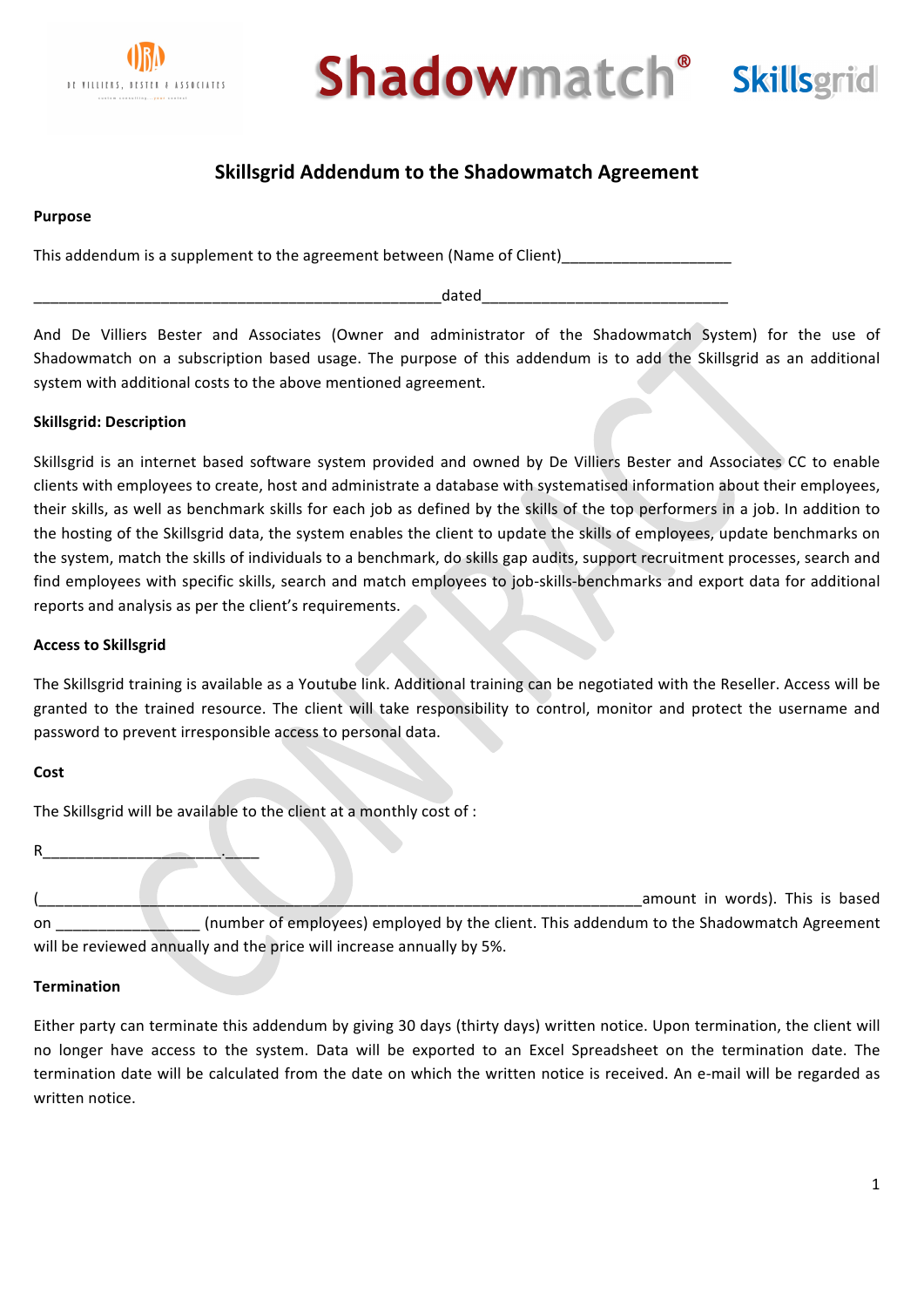



# **Skillsgrid Addendum to the Shadowmatch Agreement**

#### **Purpose**

This addendum is a supplement to the agreement between (Name of Client)

\_\_\_\_\_\_\_\_\_\_\_\_\_\_\_\_\_\_\_\_\_\_\_\_\_\_\_\_\_\_\_\_\_\_\_\_\_\_\_\_\_\_\_\_\_\_\_\_dated\_\_\_\_\_\_\_\_\_\_\_\_\_\_\_\_\_\_\_\_\_\_\_\_\_\_\_\_\_

And De Villiers Bester and Associates (Owner and administrator of the Shadowmatch System) for the use of Shadowmatch on a subscription based usage. The purpose of this addendum is to add the Skillsgrid as an additional system with additional costs to the above mentioned agreement.

## **Skillsgrid: Description**

Skillsgrid is an internet based software system provided and owned by De Villiers Bester and Associates CC to enable clients with employees to create, host and administrate a database with systematised information about their employees, their skills, as well as benchmark skills for each job as defined by the skills of the top performers in a job. In addition to the hosting of the Skillsgrid data, the system enables the client to update the skills of employees, update benchmarks on the system, match the skills of individuals to a benchmark, do skills gap audits, support recruitment processes, search and find employees with specific skills, search and match employees to job-skills-benchmarks and export data for additional reports and analysis as per the client's requirements.

### **Access to Skillsgrid**

The Skillsgrid training is available as a Youtube link. Additional training can be negotiated with the Reseller. Access will be granted to the trained resource. The client will take responsibility to control, monitor and protect the username and password to prevent irresponsible access to personal data.

#### **Cost**

The Skillsgrid will be available to the client at a monthly cost of :

R\_\_\_\_\_\_\_\_\_\_\_\_\_\_\_\_\_\_\_\_\_.\_\_\_\_ amount in words). This is based on and a sumber of employees) employed by the client. This addendum to the Shadowmatch Agreement will be reviewed annually and the price will increase annually by 5%.

#### **Termination**

Either party can terminate this addendum by giving 30 days (thirty days) written notice. Upon termination, the client will no longer have access to the system. Data will be exported to an Excel Spreadsheet on the termination date. The termination date will be calculated from the date on which the written notice is received. An e-mail will be regarded as written notice.